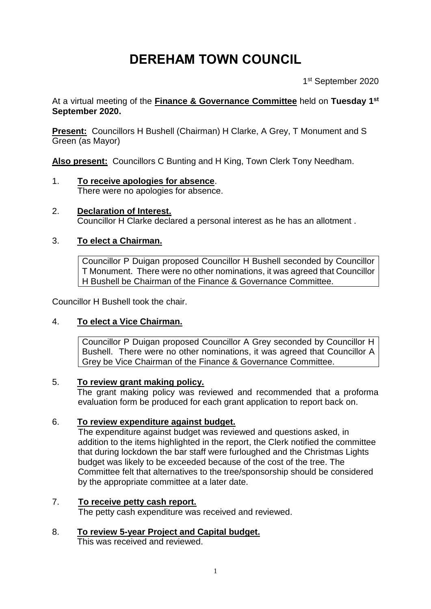# **DEREHAM TOWN COUNCIL**

1st September 2020

At a virtual meeting of the **Finance & Governance Committee** held on **Tuesday 1 st September 2020.**

**Present:** Councillors H Bushell (Chairman) H Clarke, A Grey, T Monument and S Green (as Mayor)

**Also present:** Councillors C Bunting and H King, Town Clerk Tony Needham.

- 1. **To receive apologies for absence**. There were no apologies for absence.
- 2. **Declaration of Interest.**  Councillor H Clarke declared a personal interest as he has an allotment .

## 3. **To elect a Chairman.**

Councillor P Duigan proposed Councillor H Bushell seconded by Councillor T Monument. There were no other nominations, it was agreed that Councillor H Bushell be Chairman of the Finance & Governance Committee.

Councillor H Bushell took the chair.

## 4. **To elect a Vice Chairman.**

Councillor P Duigan proposed Councillor A Grey seconded by Councillor H Bushell. There were no other nominations, it was agreed that Councillor A Grey be Vice Chairman of the Finance & Governance Committee.

## 5. **To review grant making policy.**

The grant making policy was reviewed and recommended that a proforma evaluation form be produced for each grant application to report back on.

## 6. **To review expenditure against budget.**

The expenditure against budget was reviewed and questions asked, in addition to the items highlighted in the report, the Clerk notified the committee that during lockdown the bar staff were furloughed and the Christmas Lights budget was likely to be exceeded because of the cost of the tree. The Committee felt that alternatives to the tree/sponsorship should be considered by the appropriate committee at a later date.

## 7. **To receive petty cash report.**

The petty cash expenditure was received and reviewed.

## 8. **To review 5-year Project and Capital budget.**

This was received and reviewed.